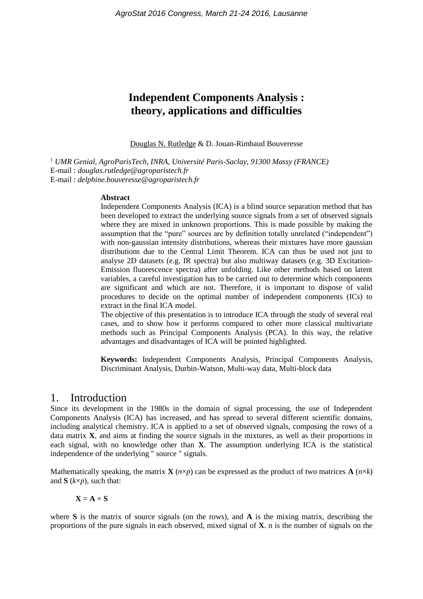# **Independent Components Analysis : theory, applications and difficulties**

Douglas N. Rutledge & D. Jouan-Rimbaud Bouveresse

<sup>1</sup> *UMR Genial, AgroParisTech, INRA, Université Paris-Saclay, 91300 Massy (FRANCE)* E-mail : *douglas.rutledge@agroparistech.fr* E-mail : *delphine.bouveresse@agroparistech.fr*

#### **Abstract**

Independent Components Analysis (ICA) is a blind source separation method that has been developed to extract the underlying source signals from a set of observed signals where they are mixed in unknown proportions. This is made possible by making the assumption that the "pure" sources are by definition totally unrelated ("independent") with non-gaussian intensity distributions, whereas their mixtures have more gaussian distributions due to the Central Limit Theorem. ICA can thus be used not just to analyse 2D datasets (e.g. IR spectra) but also multiway datasets (e.g. 3D Excitation-Emission fluorescence spectra) after unfolding. Like other methods based on latent variables, a careful investigation has to be carried out to determine which components are significant and which are not. Therefore, it is important to dispose of valid procedures to decide on the optimal number of independent components (ICs) to extract in the final ICA model.

The objective of this presentation is to introduce ICA through the study of several real cases, and to show how it performs compared to other more classical multivariate methods such as Principal Components Analysis (PCA). In this way, the relative advantages and disadvantages of ICA will be pointed highlighted.

**Keywords:** Independent Components Analysis, Principal Components Analysis, Discriminant Analysis, Durbin-Watson, Multi-way data, Multi-block data

#### 1. Introduction

Since its development in the 1980s in the domain of signal processing, the use of Independent Components Analysis (ICA) has increased, and has spread to several different scientific domains, including analytical chemistry. ICA is applied to a set of observed signals, composing the rows of a data matrix **X**, and aims at finding the source signals in the mixtures, as well as their proportions in each signal, with no knowledge other than **X**. The assumption underlying ICA is the statistical independence of the underlying " source " signals.

Mathematically speaking, the matrix **X** ( $n \times p$ ) can be expressed as the product of two matrices **A** ( $n \times k$ ) and **S** (*k*×*p*), such that:

$$
\mathbf{X} = \mathbf{A} \times \mathbf{S}
$$

where **S** is the matrix of source signals (on the rows), and **A** is the mixing matrix, describing the proportions of the pure signals in each observed, mixed signal of **X**. n is the number of signals on the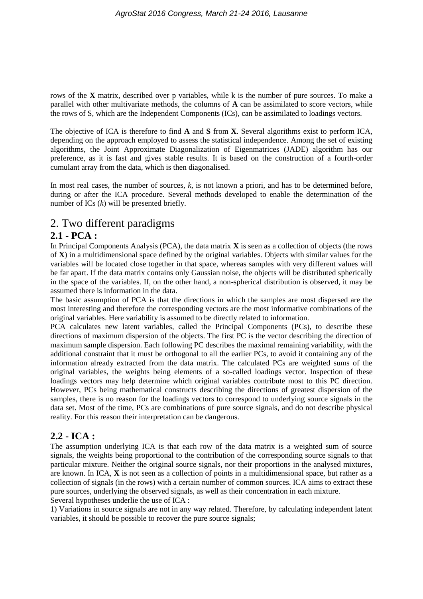rows of the **X** matrix, described over p variables, while k is the number of pure sources. To make a parallel with other multivariate methods, the columns of **A** can be assimilated to score vectors, while the rows of S, which are the Independent Components (ICs), can be assimilated to loadings vectors.

The objective of ICA is therefore to find **A** and **S** from **X**. Several algorithms exist to perform ICA, depending on the approach employed to assess the statistical independence. Among the set of existing algorithms, the Joint Approximate Diagonalization of Eigenmatrices (JADE) algorithm has our preference, as it is fast and gives stable results. It is based on the construction of a fourth-order cumulant array from the data, which is then diagonalised.

In most real cases, the number of sources, *k*, is not known a priori, and has to be determined before, during or after the ICA procedure. Several methods developed to enable the determination of the number of ICs (*k*) will be presented briefly.

## 2. Two different paradigms

#### **2.1 - PCA :**

In Principal Components Analysis (PCA), the data matrix **X** is seen as a collection of objects (the rows of **X**) in a multidimensional space defined by the original variables. Objects with similar values for the variables will be located close together in that space, whereas samples with very different values will be far apart. If the data matrix contains only Gaussian noise, the objects will be distributed spherically in the space of the variables. If, on the other hand, a non-spherical distribution is observed, it may be assumed there is information in the data.

The basic assumption of PCA is that the directions in which the samples are most dispersed are the most interesting and therefore the corresponding vectors are the most informative combinations of the original variables. Here variability is assumed to be directly related to information.

PCA calculates new latent variables, called the Principal Components (PCs), to describe these directions of maximum dispersion of the objects. The first PC is the vector describing the direction of maximum sample dispersion. Each following PC describes the maximal remaining variability, with the additional constraint that it must be orthogonal to all the earlier PCs, to avoid it containing any of the information already extracted from the data matrix. The calculated PCs are weighted sums of the original variables, the weights being elements of a so-called loadings vector. Inspection of these loadings vectors may help determine which original variables contribute most to this PC direction. However, PCs being mathematical constructs describing the directions of greatest dispersion of the samples, there is no reason for the loadings vectors to correspond to underlying source signals in the data set. Most of the time, PCs are combinations of pure source signals, and do not describe physical reality. For this reason their interpretation can be dangerous.

#### **2.2 - ICA :**

The assumption underlying ICA is that each row of the data matrix is a weighted sum of source signals, the weights being proportional to the contribution of the corresponding source signals to that particular mixture. Neither the original source signals, nor their proportions in the analysed mixtures, are known. In ICA, **X** is not seen as a collection of points in a multidimensional space, but rather as a collection of signals (in the rows) with a certain number of common sources. ICA aims to extract these pure sources, underlying the observed signals, as well as their concentration in each mixture.

Several hypotheses underlie the use of ICA :

1) Variations in source signals are not in any way related. Therefore, by calculating independent latent variables, it should be possible to recover the pure source signals;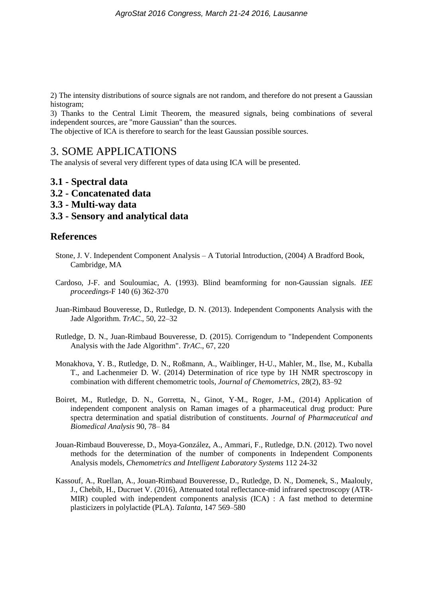2) The intensity distributions of source signals are not random, and therefore do not present a Gaussian histogram;

3) Thanks to the Central Limit Theorem, the measured signals, being combinations of several independent sources, are "more Gaussian" than the sources.

The objective of ICA is therefore to search for the least Gaussian possible sources.

### 3. SOME APPLICATIONS

The analysis of several very different types of data using ICA will be presented.

- **3.1 - Spectral data**
- **3.2 - Concatenated data**
- **3.3 - Multi-way data**
- **3.3 - Sensory and analytical data**

#### **References**

- Stone, J. V. Independent Component Analysis A Tutorial Introduction, (2004) A Bradford Book, Cambridge, MA
- Cardoso, J-F. and Souloumiac, A. (1993). Blind beamforming for non-Gaussian signals. *IEE proceedings*-F 140 (6) 362-370
- Juan-Rimbaud Bouveresse, D., Rutledge, D. N. (2013). Independent Components Analysis with the Jade Algorithm. *TrAC*., 50, 22–32
- Rutledge, D. N., Juan-Rimbaud Bouveresse, D. (2015). Corrigendum to "Independent Components Analysis with the Jade Algorithm". *TrAC*., 67, 220
- Monakhova, Y. B., Rutledge, D. N., Roßmann, A., Waiblinger, H-U., Mahler, M., Ilse, M., Kuballa T., and Lachenmeier D. W. (2014) Determination of rice type by 1H NMR spectroscopy in combination with different chemometric tools, *Journal of Chemometrics*, 28(2), 83–92
- Boiret, M., Rutledge, D. N., Gorretta, N., Ginot, Y-M., Roger, J-M., (2014) Application of independent component analysis on Raman images of a pharmaceutical drug product: Pure spectra determination and spatial distribution of constituents. *Journal of Pharmaceutical and Biomedical Analysis* 90, 78– 84
- Jouan-Rimbaud Bouveresse, D., Moya-González, A., Ammari, F., Rutledge, D.N. (2012). Two novel methods for the determination of the number of components in Independent Components Analysis models, *Chemometrics and Intelligent Laboratory Systems* 112 24-32
- Kassouf, A., Ruellan, A., Jouan-Rimbaud Bouveresse, D., Rutledge, D. N., Domenek, S., Maalouly, J., Chebib, H., Ducruet V. (2016), Attenuated total reflectance-mid infrared spectroscopy (ATR-MIR) coupled with independent components analysis (ICA) : A fast method to determine plasticizers in polylactide (PLA). *Talanta*, 147 569–580